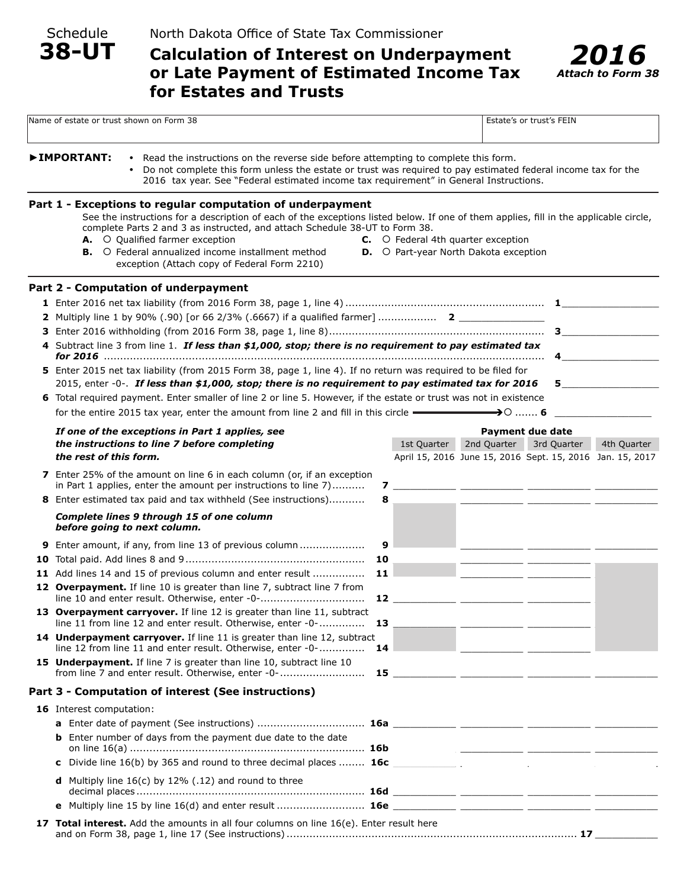Schedule

# **Calculation of Interest on Underpayment or Late Payment of Estimated Income Tax for Estates and Trusts**



|                                                                                                                                                                                                                                                                                                                | Name of estate or trust shown on Form 38                                                                                                                                                                                                                                                                                                                                                                                          |                                                                                           |                                         | Estate's or trust's FEIN                                  |             |  |
|----------------------------------------------------------------------------------------------------------------------------------------------------------------------------------------------------------------------------------------------------------------------------------------------------------------|-----------------------------------------------------------------------------------------------------------------------------------------------------------------------------------------------------------------------------------------------------------------------------------------------------------------------------------------------------------------------------------------------------------------------------------|-------------------------------------------------------------------------------------------|-----------------------------------------|-----------------------------------------------------------|-------------|--|
| ▶IMPORTANT:<br>• Read the instructions on the reverse side before attempting to complete this form.<br>Do not complete this form unless the estate or trust was required to pay estimated federal income tax for the<br>2016 tax year. See "Federal estimated income tax requirement" in General Instructions. |                                                                                                                                                                                                                                                                                                                                                                                                                                   |                                                                                           |                                         |                                                           |             |  |
|                                                                                                                                                                                                                                                                                                                | Part 1 - Exceptions to regular computation of underpayment<br>See the instructions for a description of each of the exceptions listed below. If one of them applies, fill in the applicable circle,<br>complete Parts 2 and 3 as instructed, and attach Schedule 38-UT to Form 38.<br>A. O Qualified farmer exception<br><b>B.</b> O Federal annualized income installment method<br>exception (Attach copy of Federal Form 2210) | <b>C.</b> O Federal 4th quarter exception<br><b>D.</b> O Part-year North Dakota exception |                                         |                                                           |             |  |
|                                                                                                                                                                                                                                                                                                                | Part 2 - Computation of underpayment                                                                                                                                                                                                                                                                                                                                                                                              |                                                                                           |                                         |                                                           |             |  |
|                                                                                                                                                                                                                                                                                                                |                                                                                                                                                                                                                                                                                                                                                                                                                                   |                                                                                           |                                         |                                                           |             |  |
|                                                                                                                                                                                                                                                                                                                |                                                                                                                                                                                                                                                                                                                                                                                                                                   |                                                                                           |                                         |                                                           |             |  |
|                                                                                                                                                                                                                                                                                                                |                                                                                                                                                                                                                                                                                                                                                                                                                                   |                                                                                           |                                         |                                                           |             |  |
|                                                                                                                                                                                                                                                                                                                | 4 Subtract line 3 from line 1. If less than \$1,000, stop; there is no requirement to pay estimated tax                                                                                                                                                                                                                                                                                                                           |                                                                                           |                                         | 4                                                         |             |  |
|                                                                                                                                                                                                                                                                                                                | 5 Enter 2015 net tax liability (from 2015 Form 38, page 1, line 4). If no return was required to be filed for                                                                                                                                                                                                                                                                                                                     |                                                                                           |                                         |                                                           |             |  |
|                                                                                                                                                                                                                                                                                                                | 2015, enter -0-. If less than \$1,000, stop; there is no requirement to pay estimated tax for 2016<br>$5 - 5$                                                                                                                                                                                                                                                                                                                     |                                                                                           |                                         |                                                           |             |  |
|                                                                                                                                                                                                                                                                                                                | 6 Total required payment. Enter smaller of line 2 or line 5. However, if the estate or trust was not in existence                                                                                                                                                                                                                                                                                                                 |                                                                                           |                                         |                                                           |             |  |
|                                                                                                                                                                                                                                                                                                                | for the entire 2015 tax year, enter the amount from line 2 and fill in this circle $\longrightarrow$<br>→○ …… 6                                                                                                                                                                                                                                                                                                                   |                                                                                           |                                         |                                                           |             |  |
|                                                                                                                                                                                                                                                                                                                | If one of the exceptions in Part 1 applies, see                                                                                                                                                                                                                                                                                                                                                                                   |                                                                                           |                                         | <b>Payment due date</b>                                   |             |  |
|                                                                                                                                                                                                                                                                                                                | the instructions to line 7 before completing                                                                                                                                                                                                                                                                                                                                                                                      | 1st Quarter                                                                               | 2nd Quarter                             | 3rd Quarter                                               | 4th Quarter |  |
|                                                                                                                                                                                                                                                                                                                | the rest of this form.                                                                                                                                                                                                                                                                                                                                                                                                            |                                                                                           |                                         | April 15, 2016 June 15, 2016 Sept. 15, 2016 Jan. 15, 2017 |             |  |
|                                                                                                                                                                                                                                                                                                                | 7 Enter 25% of the amount on line 6 in each column (or, if an exception<br>in Part 1 applies, enter the amount per instructions to line 7)                                                                                                                                                                                                                                                                                        | 7 ________ _______ ________ ________                                                      |                                         |                                                           |             |  |
|                                                                                                                                                                                                                                                                                                                | 8 Enter estimated tax paid and tax withheld (See instructions)<br>8                                                                                                                                                                                                                                                                                                                                                               |                                                                                           |                                         |                                                           |             |  |
|                                                                                                                                                                                                                                                                                                                | <b>Complete lines 9 through 15 of one column</b><br>before going to next column.                                                                                                                                                                                                                                                                                                                                                  |                                                                                           |                                         |                                                           |             |  |
|                                                                                                                                                                                                                                                                                                                | 9 Enter amount, if any, from line 13 of previous column<br>9                                                                                                                                                                                                                                                                                                                                                                      |                                                                                           |                                         |                                                           |             |  |
|                                                                                                                                                                                                                                                                                                                | 10                                                                                                                                                                                                                                                                                                                                                                                                                                |                                                                                           |                                         |                                                           |             |  |
|                                                                                                                                                                                                                                                                                                                | 11 Add lines 14 and 15 of previous column and enter result<br>11                                                                                                                                                                                                                                                                                                                                                                  |                                                                                           |                                         |                                                           |             |  |
|                                                                                                                                                                                                                                                                                                                | 12 Overpayment. If line 10 is greater than line 7, subtract line 7 from<br>12                                                                                                                                                                                                                                                                                                                                                     |                                                                                           |                                         |                                                           |             |  |
|                                                                                                                                                                                                                                                                                                                | 13 Overpayment carryover. If line 12 is greater than line 11, subtract<br>line 11 from line 12 and enter result. Otherwise, enter -0-<br>13                                                                                                                                                                                                                                                                                       |                                                                                           |                                         |                                                           |             |  |
|                                                                                                                                                                                                                                                                                                                | 14 Underpayment carryover. If line 11 is greater than line 12, subtract<br>line 12 from line 11 and enter result. Otherwise, enter -0-<br>14                                                                                                                                                                                                                                                                                      |                                                                                           |                                         |                                                           |             |  |
|                                                                                                                                                                                                                                                                                                                | 15 Underpayment. If line 7 is greater than line 10, subtract line 10<br>from line 7 and enter result. Otherwise, enter -0-                                                                                                                                                                                                                                                                                                        |                                                                                           |                                         |                                                           |             |  |
|                                                                                                                                                                                                                                                                                                                | Part 3 - Computation of interest (See instructions)                                                                                                                                                                                                                                                                                                                                                                               |                                                                                           |                                         |                                                           |             |  |
|                                                                                                                                                                                                                                                                                                                | 16 Interest computation:                                                                                                                                                                                                                                                                                                                                                                                                          |                                                                                           |                                         |                                                           |             |  |
|                                                                                                                                                                                                                                                                                                                |                                                                                                                                                                                                                                                                                                                                                                                                                                   |                                                                                           |                                         |                                                           |             |  |
|                                                                                                                                                                                                                                                                                                                | <b>b</b> Enter number of days from the payment due date to the date                                                                                                                                                                                                                                                                                                                                                               |                                                                                           |                                         |                                                           |             |  |
|                                                                                                                                                                                                                                                                                                                | c Divide line 16(b) by 365 and round to three decimal places  16c                                                                                                                                                                                                                                                                                                                                                                 |                                                                                           | and the state of the state of the state |                                                           |             |  |
|                                                                                                                                                                                                                                                                                                                | Multiply line $16(c)$ by 12% (.12) and round to three<br>d                                                                                                                                                                                                                                                                                                                                                                        |                                                                                           |                                         |                                                           |             |  |
|                                                                                                                                                                                                                                                                                                                |                                                                                                                                                                                                                                                                                                                                                                                                                                   |                                                                                           |                                         |                                                           |             |  |
|                                                                                                                                                                                                                                                                                                                | 17 Total interest. Add the amounts in all four columns on line 16(e). Enter result here                                                                                                                                                                                                                                                                                                                                           |                                                                                           |                                         |                                                           |             |  |